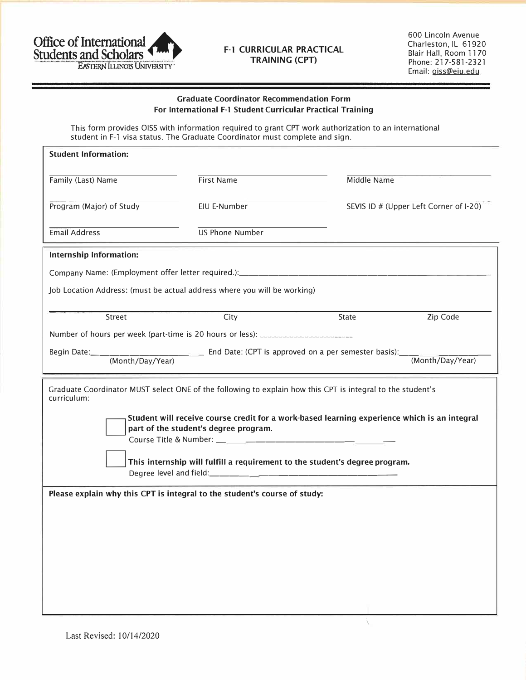

## **F-1 CURRICULAR PRACTICAL TRAINING (CPT)**

600 Lincoln Avenue Charleston, IL 61920 Blair Hall, Room 11 70 Phone: 217-581-2321 Email: oiss@eiu.edu

## **Graduate Coordinator Recommendation Form For International F-1 Student Curricular Practical Training**

This form provides 0155 with information required to grant CPT work authorization to an international student in F-1 visa status. The Graduate Coordinator must complete and sign.

| <b>Student Information:</b>                                                                                                           |                        |             |                                        |  |
|---------------------------------------------------------------------------------------------------------------------------------------|------------------------|-------------|----------------------------------------|--|
| Family (Last) Name                                                                                                                    | <b>First Name</b>      | Middle Name |                                        |  |
| Program (Major) of Study                                                                                                              | EIU E-Number           |             | SEVIS ID # (Upper Left Corner of I-20) |  |
| <b>Email Address</b>                                                                                                                  | <b>US Phone Number</b> |             |                                        |  |
| Internship Information:                                                                                                               |                        |             |                                        |  |
|                                                                                                                                       |                        |             |                                        |  |
| Job Location Address: (must be actual address where you will be working)                                                              |                        |             |                                        |  |
| Street                                                                                                                                | City                   | State       | Zip Code                               |  |
| Number of hours per week (part-time is 20 hours or less): _______________________                                                     |                        |             |                                        |  |
|                                                                                                                                       |                        |             | (Month/Day/Year)                       |  |
| Graduate Coordinator MUST select ONE of the following to explain how this CPT is integral to the student's<br>curriculum:             |                        |             |                                        |  |
| Student will receive course credit for a work-based learning experience which is an integral<br>part of the student's degree program. |                        |             |                                        |  |
|                                                                                                                                       |                        |             |                                        |  |
| This internship will fulfill a requirement to the student's degree program.                                                           |                        |             |                                        |  |
| Please explain why this CPT is integral to the student's course of study:                                                             |                        |             |                                        |  |
|                                                                                                                                       |                        |             |                                        |  |
|                                                                                                                                       |                        |             |                                        |  |
|                                                                                                                                       |                        |             |                                        |  |
|                                                                                                                                       |                        |             |                                        |  |
|                                                                                                                                       |                        |             |                                        |  |
|                                                                                                                                       |                        |             |                                        |  |
|                                                                                                                                       |                        |             |                                        |  |

 $\sqrt{ }$